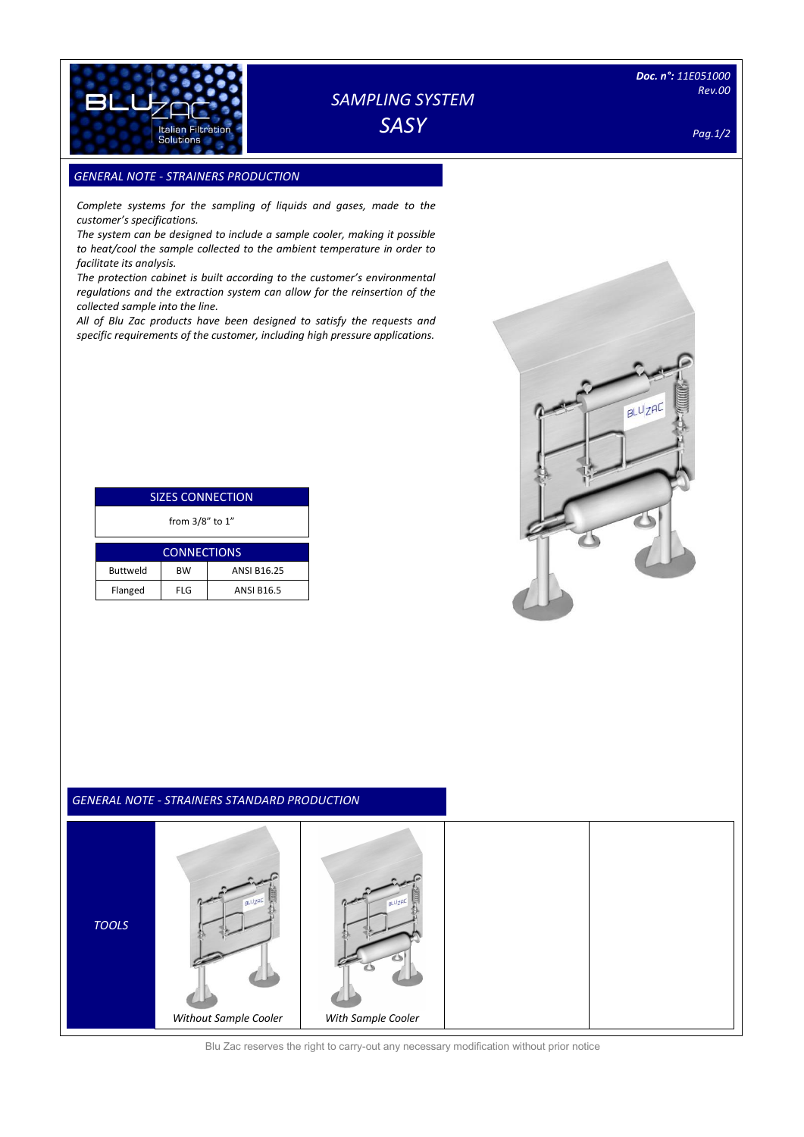

# *SAMPLING SYSTEM*

*SASY*

*Doc. n°: 11E051000 Rev.00* 

 $B L U Z H C$ 

*Pag.1/2*

## **GENERAL NOTE - STRAINERS PRODUCTION**

*Complete systems for the sampling of liquids and gases, made to the customer's specifications.*

*The system can be designed to include a sample cooler, making it possible to heat/cool the sample collected to the ambient temperature in order to facilitate its analysis.*

*The protection cabinet is built according to the customer's environmental regulations and the extraction system can allow for the reinsertion of the collected sample into the line.*

*All of Blu Zac products have been designed to satisfy the requests and specific requirements of the customer, including high pressure applications.*

| <b>SIZES CONNECTION</b> |            |                    |  |  |  |  |
|-------------------------|------------|--------------------|--|--|--|--|
| from 3/8" to 1"         |            |                    |  |  |  |  |
| <b>CONNECTIONS</b>      |            |                    |  |  |  |  |
| <b>Buttweld</b>         | <b>BW</b>  | <b>ANSI B16.25</b> |  |  |  |  |
| Flanged                 | <b>FLG</b> | <b>ANSI B16.5</b>  |  |  |  |  |

#### *GENERAL NOTE - STRAINERS STANDARD PRODUCTION*



Blu Zac reserves the right to carry-out any necessary modification without prior notice